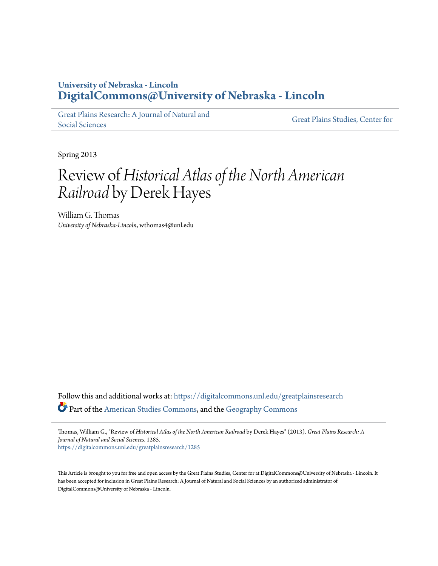## **University of Nebraska - Lincoln [DigitalCommons@University of Nebraska - Lincoln](https://digitalcommons.unl.edu?utm_source=digitalcommons.unl.edu%2Fgreatplainsresearch%2F1285&utm_medium=PDF&utm_campaign=PDFCoverPages)**

[Great Plains Research: A Journal of Natural and](https://digitalcommons.unl.edu/greatplainsresearch?utm_source=digitalcommons.unl.edu%2Fgreatplainsresearch%2F1285&utm_medium=PDF&utm_campaign=PDFCoverPages) [Social Sciences](https://digitalcommons.unl.edu/greatplainsresearch?utm_source=digitalcommons.unl.edu%2Fgreatplainsresearch%2F1285&utm_medium=PDF&utm_campaign=PDFCoverPages)

[Great Plains Studies, Center for](https://digitalcommons.unl.edu/greatplainsstudies?utm_source=digitalcommons.unl.edu%2Fgreatplainsresearch%2F1285&utm_medium=PDF&utm_campaign=PDFCoverPages)

Spring 2013

## Review of*Historical Atlas of the North American Railroad* by Derek Hayes

William G. Thomas *University of Nebraska-Lincoln*, wthomas4@unl.edu

Follow this and additional works at: [https://digitalcommons.unl.edu/greatplainsresearch](https://digitalcommons.unl.edu/greatplainsresearch?utm_source=digitalcommons.unl.edu%2Fgreatplainsresearch%2F1285&utm_medium=PDF&utm_campaign=PDFCoverPages) Part of the [American Studies Commons](http://network.bepress.com/hgg/discipline/439?utm_source=digitalcommons.unl.edu%2Fgreatplainsresearch%2F1285&utm_medium=PDF&utm_campaign=PDFCoverPages), and the [Geography Commons](http://network.bepress.com/hgg/discipline/354?utm_source=digitalcommons.unl.edu%2Fgreatplainsresearch%2F1285&utm_medium=PDF&utm_campaign=PDFCoverPages)

Thomas, William G., "Review of *Historical Atlas of the North American Railroad* by Derek Hayes" (2013). *Great Plains Research: A Journal of Natural and Social Sciences*. 1285. [https://digitalcommons.unl.edu/greatplainsresearch/1285](https://digitalcommons.unl.edu/greatplainsresearch/1285?utm_source=digitalcommons.unl.edu%2Fgreatplainsresearch%2F1285&utm_medium=PDF&utm_campaign=PDFCoverPages)

This Article is brought to you for free and open access by the Great Plains Studies, Center for at DigitalCommons@University of Nebraska - Lincoln. It has been accepted for inclusion in Great Plains Research: A Journal of Natural and Social Sciences by an authorized administrator of DigitalCommons@University of Nebraska - Lincoln.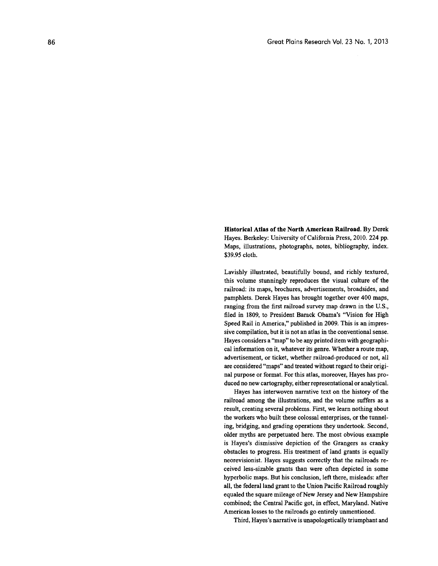Historical Atlas of the North American Railroad. By Derek Hayes. Berkeley: University of California Press, 2010. 224 pp. Maps, illustrations, photographs, notes, bibliography, index. \$39.95 cloth.

Lavishly illustrated, beautifully bound, and richly textured, this volume stunningly reproduces the visual culture of the railroad: its maps, brochures, advertisements, broadsides, and pamphlets. Derek Hayes has brought together over 400 maps, ranging from the first railroad survey map drawn in the U.S., filed in 1809, to President Barack Obama's "Vision for High Speed Rail in America," published in 2009. This is an impressive compilation, but it is not an atlas in the conventional sense. Hayes considers a "map" to be any printed item with geographical information on it, whatever its genre. Whether a route map, advertisement, or ticket, whether railroad-produced or not, all are considered "maps" and treated without regard to their original purpose or format. For this atlas, moreover, Hayes has produced no new cartography, either representational or analytical.

Hayes has interwoven narrative text on the history of the railroad among the illustrations, and the volume suffers as a result, creating several problems. First, we learn nothing about the workers who built these colossal enterprises, or the tunneling, bridging, and grading operations they undertook. Second, older myths are perpetuated here. The most obvious example is Hayes's dismissive depiction of the Grangers as cranky obstacles to progress. His treatment of land grants is equally neorevisionist. Hayes suggests correctly that the railroads received less-sizable grants than were often depicted in some hyperbolic maps. But his conclusion, left there, misleads: after all, the federal land grant to the Union Pacific Railroad roughly equaled the square mileage of New Jersey and New Hampshire combined; the Central Pacific got, in effect, Maryland. Native American losses to the railroads go entirely unmentioned.

Third, Hayes's narrative is unapologetically triumphant and